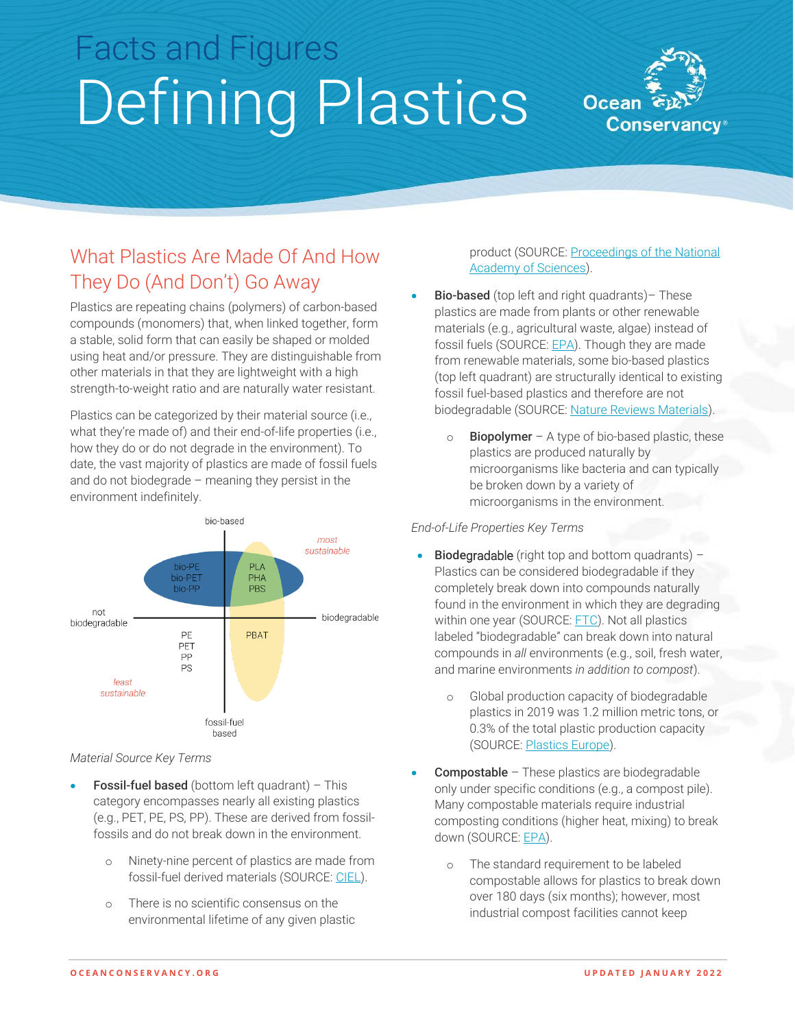# Facts and Figures Defining Plastics



## What Plastics Are Made Of And How They Do (And Don't) Go Away

Plastics are repeating chains (polymers) of carbon-based compounds (monomers) that, when linked together, form a stable, solid form that can easily be shaped or molded using heat and/or pressure. They are distinguishable from other materials in that they are lightweight with a high strength-to-weight ratio and are naturally water resistant.

Plastics can be categorized by their material source (i.e., what they're made of) and their end-of-life properties (i.e., how they do or do not degrade in the environment). To date, the vast majority of plastics are made of fossil fuels and do not biodegrade – meaning they persist in the environment indefinitely.



#### *Material Source Key Terms*

- **Fossil-fuel based** (bottom left quadrant) This category encompasses nearly all existing plastics (e.g., PET, PE, PS, PP). These are derived from fossilfossils and do not break down in the environment.
	- o Ninety-nine percent of plastics are made from fossil-fuel derived materials (SOURCE: [CIEL\)](https://www.ciel.org/wp-content/uploads/2017/09/Fueling-Plastics-Fossils-Plastics-Petrochemical-Feedstocks.pdf).
	- o There is no scientific consensus on the environmental lifetime of any given plastic

product (SOURCE[: Proceedings of the National](https://www.pnas.org/content/117/26/14618)  [Academy of Sciences\)](https://www.pnas.org/content/117/26/14618).

- Bio-based (top left and right quadrants) These plastics are made from plants or other renewable materials (e.g., agricultural waste, algae) instead of fossil fuels (SOURCE: [EPA\)](https://www.epa.gov/trash-free-waters/frequently-asked-questions-about-plastic-recycling-and-composting#resp). Though they are made from renewable materials, some bio-based plastics (top left quadrant) are structurally identical to existing fossil fuel-based plastics and therefore are not biodegradable (SOURCE[: Nature Reviews Materials\)](https://www.nature.com/articles/s41578-021-00382-0#Sec7).
	- $\circ$  Biopolymer A type of bio-based plastic, these plastics are produced naturally by microorganisms like bacteria and can typically be broken down by a variety of microorganisms in the environment.

#### *End-of-Life Properties Key Terms*

- Biodegradable (right top and bottom quadrants) Plastics can be considered biodegradable if they completely break down into compounds naturally found in the environment in which they are degrading within one year (SOURCE: [FTC\)](https://www.ftc.gov/system/files/documents/public_events/975753/ftc_-_environmental_claims_summary_of_the_green_guides.pdf). Not all plastics labeled "biodegradable" can break down into natural compounds in *all* environments (e.g., soil, fresh water, and marine environments *in addition to compost*).
	- o Global production capacity of biodegradable plastics in 2019 was 1.2 million metric tons, or 0.3% of the total plastic production capacity (SOURCE: [Plastics](https://www.plasticseurope.org/en/resources/publications/1804-plasticsfacts-2019) Europe).
- Compostable These plastics are biodegradable only under specific conditions (e.g., a compost pile). Many compostable materials require industrial composting conditions (higher heat, mixing) to break down (SOURCE[: EPA\)](https://www.epa.gov/trash-free-waters/frequently-asked-questions-about-plastic-recycling-and-composting#resp).
	- o The standard requirement to be labeled compostable allows for plastics to break down over 180 days (six months); however, most industrial compost facilities cannot keep